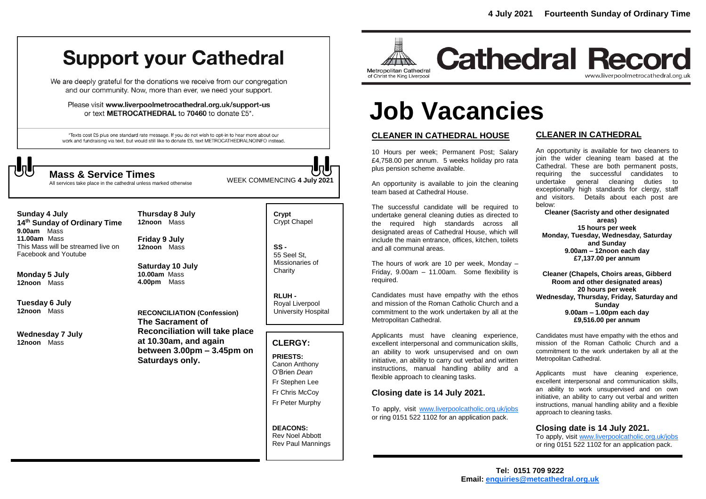## **Support your Cathedral**

We are deeply grateful for the donations we receive from our congregation and our community. Now, more than ever, we need your support.

Please visit www.liverpoolmetrocathedral.org.uk/support-us or text METROCATHEDRAL to 70460 to donate £5\*.

\*Texts cost £5 plus one standard rate message. If you do not wish to opt-in to hear more about our work and fundraising via text, but would still like to donate £5, text METROCATHEDRALNOINFO instead.

WEEK COMMENCING **4 July <sup>2021</sup> Mass & Service Times** All services take place in the cathedral unless marked otherwise

**Sunday 4 July 14 th Sunday of Ordinary Time 9.00am** Mass **11.00am** Mass This Mass will be streamed live on Facebook and Youtube

**Monday 5 July 12noon** Mass

**Tuesday 6 July 12noon** Mass

**Wednesday 7 July 12noon** Mass

**12noon** Mass **Friday 9 July 12noon** Mass

**Thursday 8 July**

**Saturday 10 July 10.00am** Mass **4.00pm** Mass

**RECONCILIATION (Confession) The Sacrament of Reconciliation will take place at 10.30am, and again between 3.00pm – 3.45pm on Saturdays only.**

**Crypt**  Crypt Chapel

**SS -** 55 Seel St, Missionaries of **Charity** 

**RLUH -** Royal Liverpool University Hospital

#### **CLERGY:**

**PRIESTS:** Canon Anthony O'Brien *Dean* Fr Stephen Lee Fr Chris McCoy Fr Peter Murphy

**DEACONS:** Rev Noel Abbott Rev Paul Mannings



## **Cathedral Record** www.liverpoolmetrocathedral.org.uk

# **Job Vacancies**

#### **CLEANER IN CATHEDRAL HOUSE**

10 Hours per week; Permanent Post; Salary £4,758.00 per annum. 5 weeks holiday pro rata plus pension scheme available.

An opportunity is available to join the cleaning team based at Cathedral House.

The successful candidate will be required to undertake general cleaning duties as directed to the required high standards across all designated areas of Cathedral House, which will include the main entrance, offices, kitchen, toilets and all communal areas.

The hours of work are 10 per week, Monday – Friday, 9.00am – 11.00am. Some flexibility is required.

Candidates must have empathy with the ethos and mission of the Roman Catholic Church and a commitment to the work undertaken by all at the Metropolitan Cathedral.

Applicants must have cleaning experience, excellent interpersonal and communication skills, an ability to work unsupervised and on own initiative, an ability to carry out verbal and written instructions, manual handling ability and a flexible approach to cleaning tasks.

#### **Closing date is 14 July 2021.**

To apply, visit [www.liverpoolcatholic.org.uk/jobs](http://www.liverpoolcatholic.org.uk/jobs) or ring 0151 522 1102 for an application pack.

#### **CLEANER IN CATHEDRAL**

An opportunity is available for two cleaners to join the wider cleaning team based at the Cathedral. These are both permanent posts, requiring the successful candidates to undertake general cleaning duties to exceptionally high standards for clergy, staff and visitors. Details about each post are below:

**Cleaner (Sacristy and other designated areas) 15 hours per week Monday, Tuesday, Wednesday, Saturday and Sunday 9.00am – 12noon each day £7,137.00 per annum**

**Cleaner (Chapels, Choirs areas, Gibberd Room and other designated areas) 20 hours per week Wednesday, Thursday, Friday, Saturday and Sunday 9.00am – 1.00pm each day £9,516.00 per annum**

Candidates must have empathy with the ethos and mission of the Roman Catholic Church and a commitment to the work undertaken by all at the Metropolitan Cathedral.

Applicants must have cleaning experience, excellent interpersonal and communication skills, an ability to work unsupervised and on own initiative, an ability to carry out verbal and written instructions, manual handling ability and a flexible approach to cleaning tasks.

#### **Closing date is 14 July 2021.**

To apply, visi[t www.liverpoolcatholic.org.uk/jobs](http://www.liverpoolcatholic.org.uk/jobs) or ring 0151 522 1102 for an application pack.